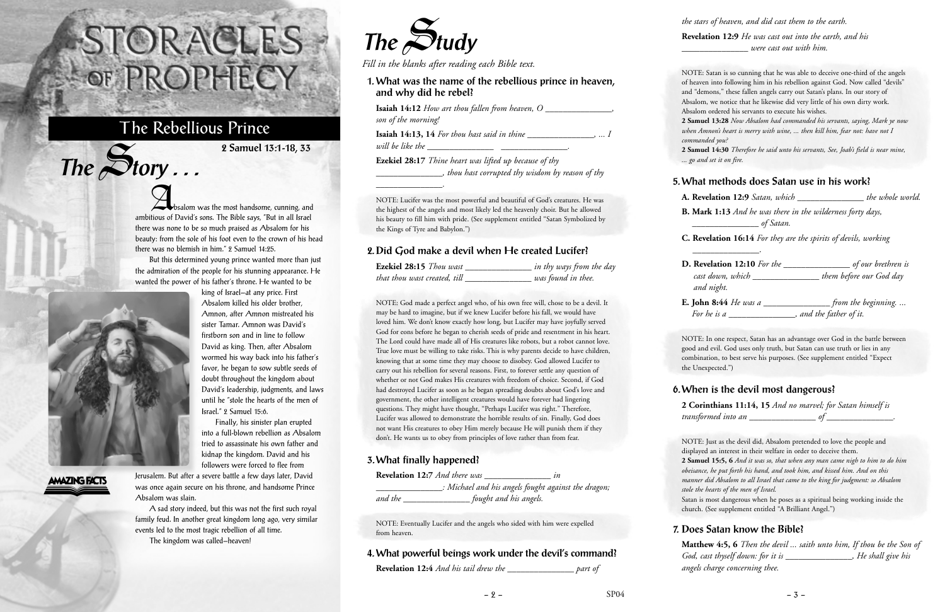Absalom was the most handsome, cunning, and ambitious of David's sons. The Bible says, "But in all Israel there was none to be so much praised as Absalom for his beauty: from the sole of his foot even to the crown of his head there was no blemish in him." 2 Samuel 14:25.

But this determined young prince wanted more than just the admiration of the people for his stunning appearance. He wanted the power of his father's throne. He wanted to be



 $The$  $S$ **tory** ...

king of Israel—at any price. First Absalom killed his older brother, Amnon, after Amnon mistreated his sister Tamar. Amnon was David's firstborn son and in line to follow David as king. Then, after Absalom wormed his way back into his father's favor, he began to sow subtle seeds of doubt throughout the kingdom about David's leadership, judgments, and laws until he "stole the hearts of the men of Israel." 2 Samuel 15:6.

Finally, his sinister plan erupted into a full-blown rebellion as Absalom tried to assassinate his own father and kidnap the kingdom. David and his followers were forced to flee from

## **AMAZING FACTS**

Jerusalem. But after a severe battle a few days later, David was once again secure on his throne, and handsome Prince Absalom was slain.

A sad story indeed, but this was not the first such royal family feud. In another great kingdom long ago, very similar events led to the most tragic rebellion of all time.

The kingdom was called—heaven!

# STORACLES -OF PROPHECY

# The Rebellious Prince

**2 Samuel 13:1-18, 33**



*Fill in the blanks after reading each Bible text.*

| 1. What was the name of the rebellious prince in heaven,<br>and why did he rebel?                                         |  |
|---------------------------------------------------------------------------------------------------------------------------|--|
| <b>Isaiah 14:12</b> How art thou fallen from heaven, O<br>son of the morning!                                             |  |
| <b>Isaiah 14:13, 14</b> For thou hast said in thine $\qquad \qquad$ ,  I                                                  |  |
| <b>Ezekiel 28:17</b> Thine heart was lifted up because of thy<br>$\Box$ , thou hast corrupted thy wisdom by reason of thy |  |
|                                                                                                                           |  |

NOTE: Lucifer was the most powerful and beautiful of God's creatures. He was the highest of the angels and most likely led the heavenly choir. But he allowed his beauty to fill him with pride. (See supplement entitled "Satan Symbolized by the Kings of Tyre and Babylon.")

#### **2. Did God make a devil when He created Lucifer?**

| Ezekiel 28:15 Thou wast      | in thy ways from the day |
|------------------------------|--------------------------|
| that thou wast created, till | was found in thee.       |

NOTE: God made a perfect angel who, of his own free will, chose to be a devil. It may be hard to imagine, but if we knew Lucifer before his fall, we would have loved him. We don't know exactly how long, but Lucifer may have joyfully served God for eons before he began to cherish seeds of pride and resentment in his heart. The Lord could have made all of His creatures like robots, but a robot cannot love. True love must be willing to take risks. This is why parents decide to have children, knowing that at some time they may choose to disobey. God allowed Lucifer to carry out his rebellion for several reasons. First, to forever settle any question of whether or not God makes His creatures with freedom of choice. Second, if God had destroyed Lucifer as soon as he began spreading doubts about God's love and government, the other intelligent creatures would have forever had lingering questions. They might have thought, "Perhaps Lucifer was right." Therefore, Lucifer was allowed to demonstrate the horrible results of sin. Finally, God does not want His creatures to obey Him merely because He will punish them if they don't. He wants us to obey from principles of love rather than from fear.

#### **3. What finally happened?**

|         | <b>Revelation 12:7</b> And there was | ın                                                  |
|---------|--------------------------------------|-----------------------------------------------------|
|         |                                      | : Michael and his angels fought against the dragon; |
| and the |                                      | fought and his angels.                              |

NOTE: Eventually Lucifer and the angels who sided with him were expelled from heaven.

#### **4. What powerful beings work under the devil's command?**

**Revelation 12:4** *And his tail drew the \_\_\_\_\_\_\_\_\_\_\_\_\_\_\_ part of* 

*the stars of heaven, and did cast them to the earth.*

**Revelation 12:9** *He was cast out into the earth, and his \_\_\_\_\_\_\_\_\_\_\_\_\_\_\_ were cast out with him.*

NOTE: Satan is so cunning that he was able to deceive one-third of the angels of heaven into following him in his rebellion against God. Now called "devils" and "demons," these fallen angels carry out Satan's plans. In our story of Absalom, we notice that he likewise did very little of his own dirty work. Absalom ordered his servants to execute his wishes.

**2 Samuel 13:28** *Now Absalom had commanded his servants, saying, Mark ye now when Amnon's heart is merry with wine, ... then kill him, fear not: have not I commanded you?*

**2 Samuel 14:30** *Therefore he said unto his servants, See, Joab's field is near mine, ... go and set it on fire.*

#### **5. What methods does Satan use in his work?**

**A. Revelation 12:9** *Satan, which \_\_\_\_\_\_\_\_\_\_\_\_\_\_\_ the whole world.*

**B. Mark 1:13** *And he was there in the wilderness forty days, \_\_\_\_\_\_\_\_\_\_\_\_\_\_\_ of Satan.*

**C. Revelation 16:14** *For they are the spirits of devils, working*

*\_\_\_\_\_\_\_\_\_\_\_\_\_\_\_*.

| <b>D.</b> Revelation 12:10 For the | of our brethren is      |
|------------------------------------|-------------------------|
| cast down, which                   | them before our God day |
| and night.                         |                         |
| <b>E. John 8:44</b> He was a       | from the beginning      |
| For he is a                        | and the father of it.   |

NOTE: In one respect, Satan has an advantage over God in the battle between good and evil. God uses only truth, but Satan can use truth or lies in any combination, to best serve his purposes. (See supplement entitled "Expect the Unexpected.")

#### **6. When is the devil most dangerous?**

**2 Corinthians 11:14, 15** *And no marvel; for Satan himself is transformed into an \_\_\_\_\_\_\_\_\_\_\_\_\_\_\_ of \_\_\_\_\_\_\_\_\_\_\_\_\_\_\_.* 

NOTE: Just as the devil did, Absalom pretended to love the people and displayed an interest in their welfare in order to deceive them. **2 Samuel 15:5, 6** *And it was so, that when any man came nigh to him to do him obeisance, he put forth his hand, and took him, and kissed him. And on this manner did Absalom to all Israel that came to the king for judgment: so Absalom stole the hearts of the men of Israel.* Satan is most dangerous when he poses as a spiritual being working inside the church. (See supplement entitled "A Brilliant Angel.")

## **7. Does Satan know the Bible?**

**Matthew 4:5, 6** *Then the devil ... saith unto him, If thou be the Son of God, cast thyself down: for it is \_\_\_\_\_\_\_\_\_\_\_\_\_\_\_, He shall give his angels charge concerning thee.*

 $-2 - 3 - 5$